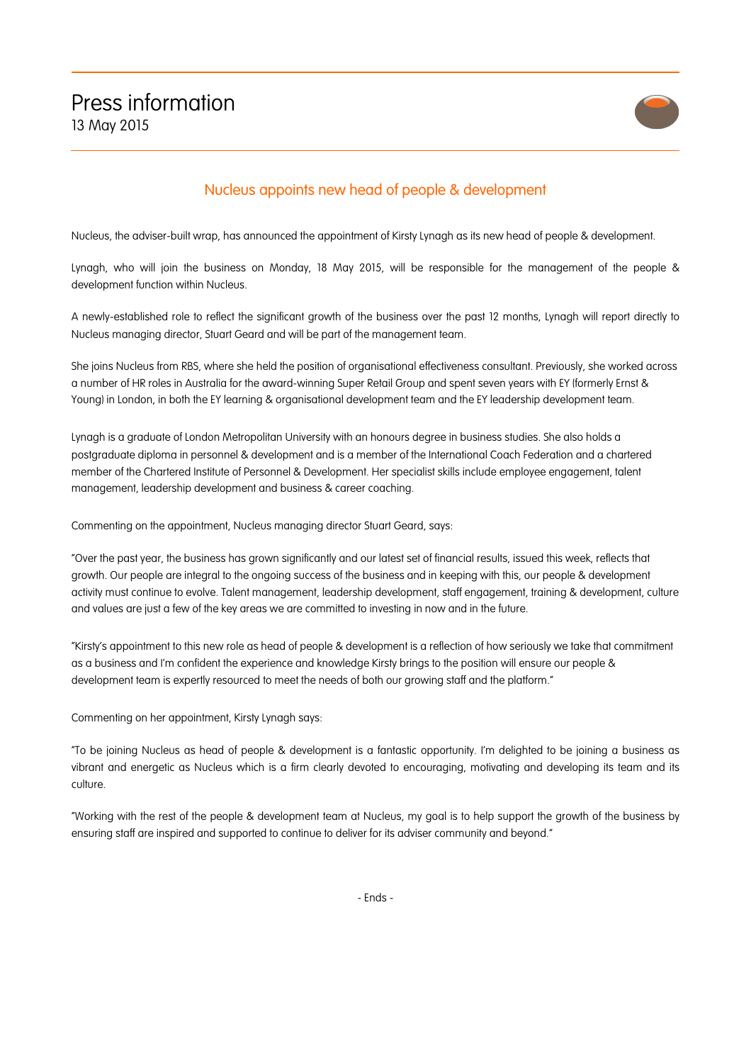

## Nucleus appoints new head of people & development

Nucleus, the adviser-built wrap, has announced the appointment of Kirsty Lynagh as its new head of people & development.

Lynagh, who will join the business on Monday, 18 May 2015, will be responsible for the management of the people & development function within Nucleus.

A newly-established role to reflect the significant growth of the business over the past 12 months, Lynagh will report directly to Nucleus managing director, Stuart Geard and will be part of the management team.

She joins Nucleus from RBS, where she held the position of organisational effectiveness consultant. Previously, she worked across a number of HR roles in Australia for the award-winning Super Retail Group and spent seven years with EY (formerly Ernst & Young) in London, in both the EY learning & organisational development team and the EY leadership development team.

Lynagh is a graduate of London Metropolitan University with an honours degree in business studies. She also holds a postgraduate diploma in personnel & development and is a member of the International Coach Federation and a chartered member of the Chartered Institute of Personnel & Development. Her specialist skills include employee engagement, talent management, leadership development and business & career coaching.

Commenting on the appointment, Nucleus managing director Stuart Geard, says:

"Over the past year, the business has grown significantly and our latest set of financial results, issued this week, reflects that growth. Our people are integral to the ongoing success of the business and in keeping with this, our people & development activity must continue to evolve. Talent management, leadership development, staff engagement, training & development, culture and values are just a few of the key areas we are committed to investing in now and in the future.

"Kirsty's appointment to this new role as head of people & development is a reflection of how seriously we take that commitment as a business and I'm confident the experience and knowledge Kirsty brings to the position will ensure our people & development team is expertly resourced to meet the needs of both our growing staff and the platform."

Commenting on her appointment, Kirsty Lynagh says:

"To be joining Nucleus as head of people & development is a fantastic opportunity. I'm delighted to be joining a business as vibrant and energetic as Nucleus which is a firm clearly devoted to encouraging, motivating and developing its team and its culture.

"Working with the rest of the people & development team at Nucleus, my goal is to help support the growth of the business by ensuring staff are inspired and supported to continue to deliver for its adviser community and beyond."

- Ends -